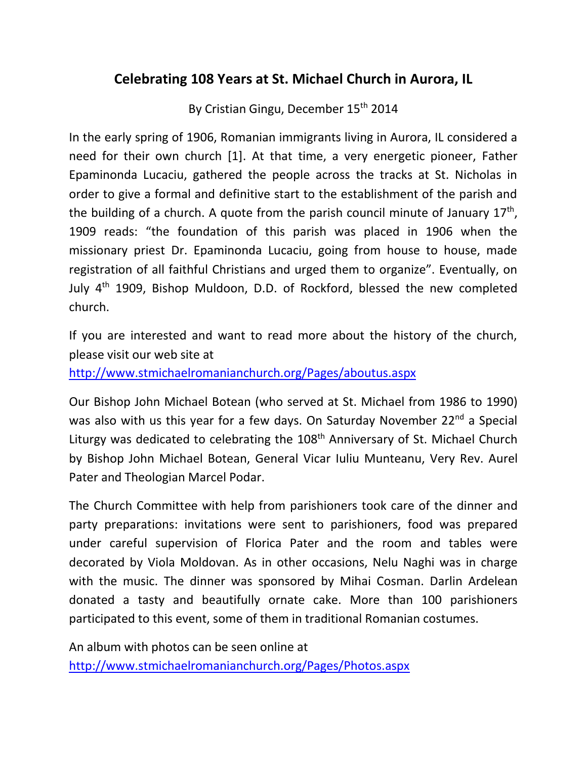## **Celebrating 108 Years at St. Michael Church in Aurora, IL**

## By Cristian Gingu, December 15<sup>th</sup> 2014

In the early spring of 1906, Romanian immigrants living in Aurora, IL considered a need for their own church [1]. At that time, a very energetic pioneer, Father Epaminonda Lucaciu, gathered the people across the tracks at St. Nicholas in order to give a formal and definitive start to the establishment of the parish and the building of a church. A quote from the parish council minute of January  $17<sup>th</sup>$ , 1909 reads: "the foundation of this parish was placed in 1906 when the missionary priest Dr. Epaminonda Lucaciu, going from house to house, made registration of all faithful Christians and urged them to organize". Eventually, on July 4<sup>th</sup> 1909, Bishop Muldoon, D.D. of Rockford, blessed the new completed church.

If you are interested and want to read more about the history of the church, please visit our web site at

<http://www.stmichaelromanianchurch.org/Pages/aboutus.aspx>

Our Bishop John Michael Botean (who served at St. Michael from 1986 to 1990) was also with us this year for a few days. On Saturday November 22<sup>nd</sup> a Special Liturgy was dedicated to celebrating the 108<sup>th</sup> Anniversary of St. Michael Church by Bishop John Michael Botean, General Vicar Iuliu Munteanu, Very Rev. Aurel Pater and Theologian Marcel Podar.

The Church Committee with help from parishioners took care of the dinner and party preparations: invitations were sent to parishioners, food was prepared under careful supervision of Florica Pater and the room and tables were decorated by Viola Moldovan. As in other occasions, Nelu Naghi was in charge with the music. The dinner was sponsored by Mihai Cosman. Darlin Ardelean donated a tasty and beautifully ornate cake. More than 100 parishioners participated to this event, some of them in traditional Romanian costumes.

An album with photos can be seen online at <http://www.stmichaelromanianchurch.org/Pages/Photos.aspx>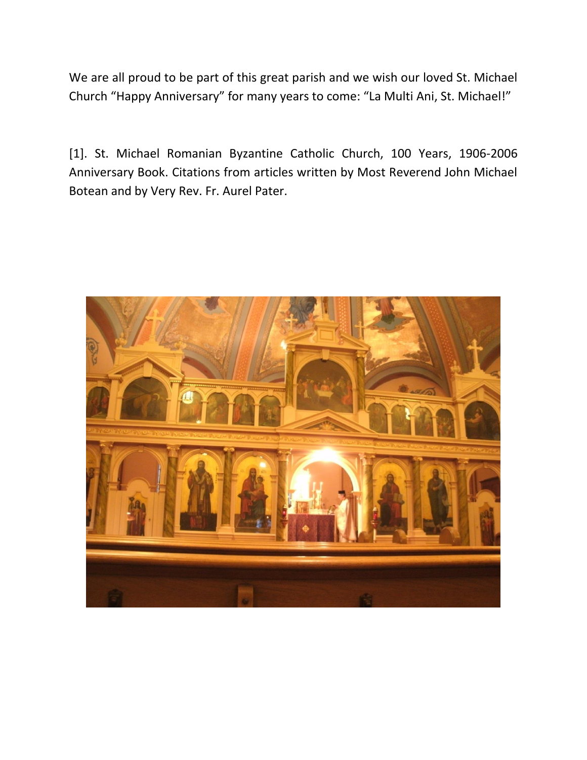We are all proud to be part of this great parish and we wish our loved St. Michael Church "Happy Anniversary" for many years to come: "La Multi Ani, St. Michael!"

[1]. St. Michael Romanian Byzantine Catholic Church, 100 Years, 1906-2006 Anniversary Book. Citations from articles written by Most Reverend John Michael Botean and by Very Rev. Fr. Aurel Pater.

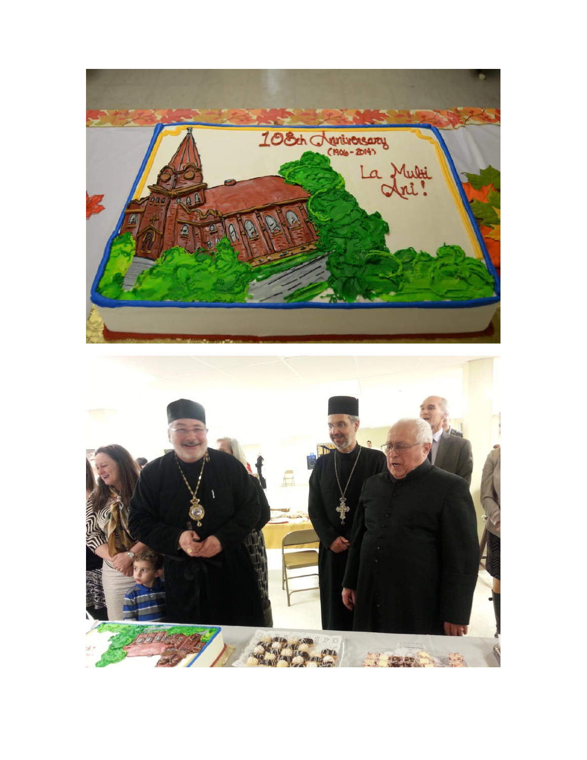